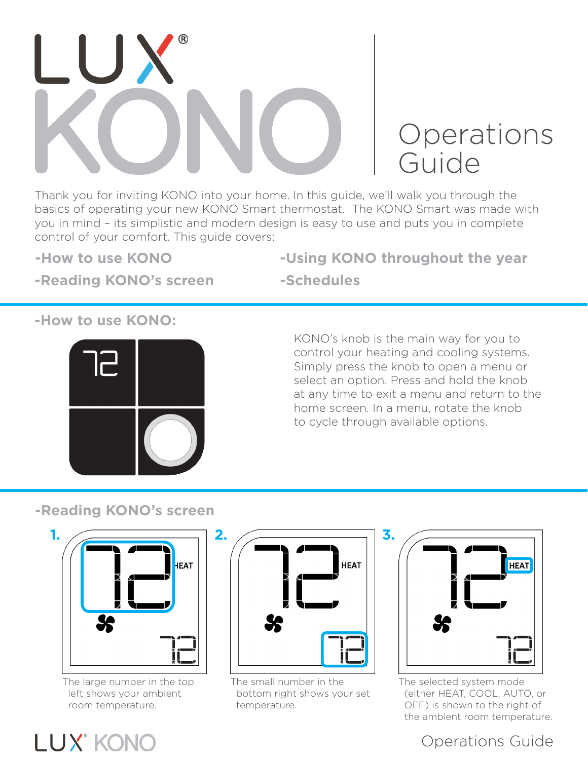

# **Operations** Guide

Thank you for inviting KONO into your home. In this guide, we'll walk you through the basics of operating your new KONO Smart thermostat. The KONO Smart was made with you in mind – its simplistic and modern design is easy to use and puts you in complete control of your comfort. This guide covers:

**-How to use KONO**

**-Using KONO throughout the year**

### **-Reading KONO's screen**

**-Schedules**

### **-How to use KONO:**



KONO's knob is the main way for you to control your heating and cooling systems. Simply press the knob to open a menu or select an option. Press and hold the knob at any time to exit a menu and return to the home screen. In a menu, rotate the knob to cycle through available options.

### **-Reading KONO's screen**



The large number in the top left shows your ambient room temperature.



The small number in the bottom right shows your set temperature.



The selected system mode (either HEAT, COOL, AUTO, or OFF) is shown to the right of the ambient room temperature.

## Operations Guide

# **LUX<sup>®</sup> KONO**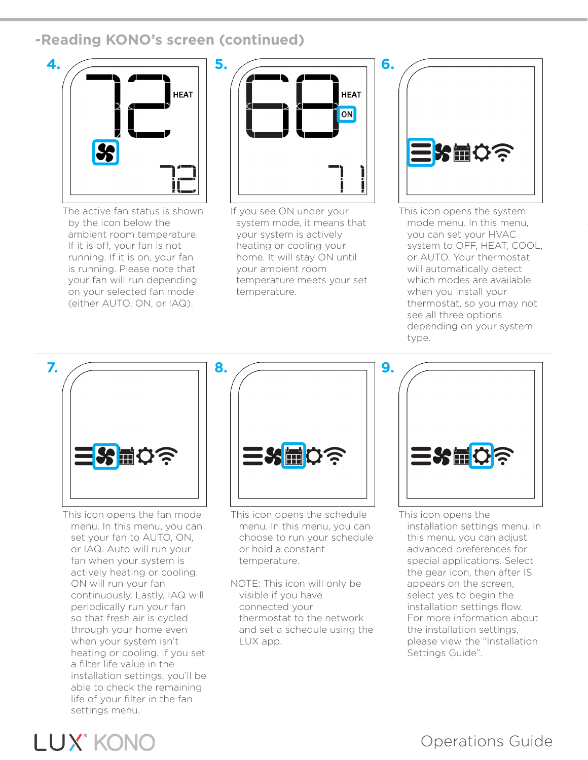### **-Reading KONO's screen (continued)**



The active fan status is shown by the icon below the ambient room temperature. If it is off, your fan is not running. If it is on, your fan is running. Please note that your fan will run depending on your selected fan mode (either AUTO, ON, or IAQ).



If you see ON under your system mode, it means that your system is actively heating or cooling your home. It will stay ON until your ambient room temperature meets your set temperature.



This icon opens the system mode menu. In this menu, you can set your HVAC system to OFF, HEAT, COOL, or AUTO. Your thermostat will automatically detect which modes are available when you install your thermostat, so you may not see all three options depending on your system type.



This icon opens the fan mode menu. In this menu, you can set your fan to AUTO, ON, or IAQ. Auto will run your fan when your system is actively heating or cooling. ON will run your fan continuously. Lastly, IAQ will periodically run your fan so that fresh air is cycled through your home even when your system isn't heating or cooling. If you set a filter life value in the installation settings, you'll be able to check the remaining life of your filter in the fan settings menu.



This icon opens the schedule menu. In this menu, you can choose to run your schedule or hold a constant temperature.

NOTE: This icon will only be visible if you have connected your thermostat to the network and set a schedule using the LUX app.



This icon opens the installation settings menu. In this menu, you can adjust advanced preferences for special applications. Select the gear icon, then after IS appears on the screen, select yes to begin the installation settings flow. For more information about the installation settings, please view the "Installation Settings Guide".



# Operations Guide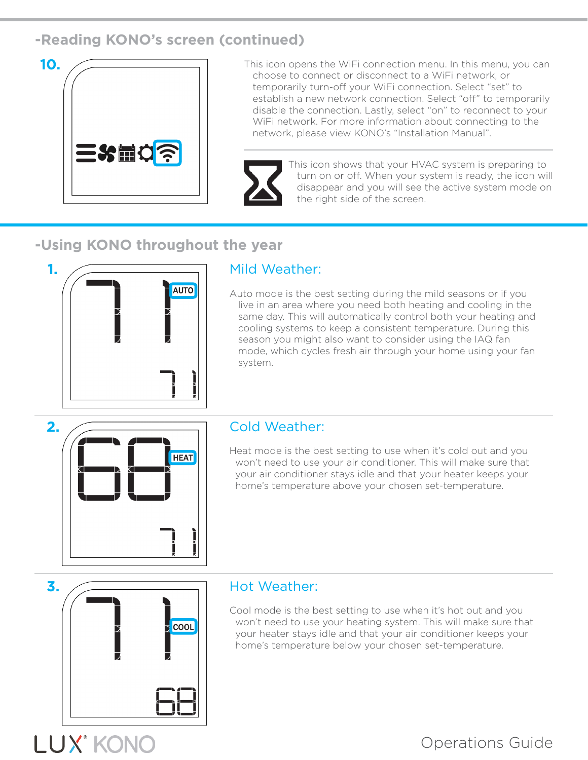### **-Reading KONO's screen (continued)**



**10.** This icon opens the WiFi connection menu. In this menu, you can choose to connect or disconnect to a WiFi network, or temporarily turn-off your WiFi connection. Select "set" to establish a new network connection. Select "off" to temporarily disable the connection. Lastly, select "on" to reconnect to your WiFi network. For more information about connecting to the network, please view KONO's "Installation Manual".



This icon shows that your HVAC system is preparing to turn on or off. When your system is ready, the icon will disappear and you will see the active system mode on the right side of the screen.

### **-Using KONO throughout the year**



Auto mode is the best setting during the mild seasons or if you live in an area where you need both heating and cooling in the same day. This will automatically control both your heating and cooling systems to keep a consistent temperature. During this season you might also want to consider using the IAQ fan mode, which cycles fresh air through your home using your fan system.



Heat mode is the best setting to use when it's cold out and you won't need to use your air conditioner. This will make sure that your air conditioner stays idle and that your heater keeps your home's temperature above your chosen set-temperature.



LUX° KONO

Cool mode is the best setting to use when it's hot out and you won't need to use your heating system. This will make sure that your heater stays idle and that your air conditioner keeps your home's temperature below your chosen set-temperature.

## Operations Guide